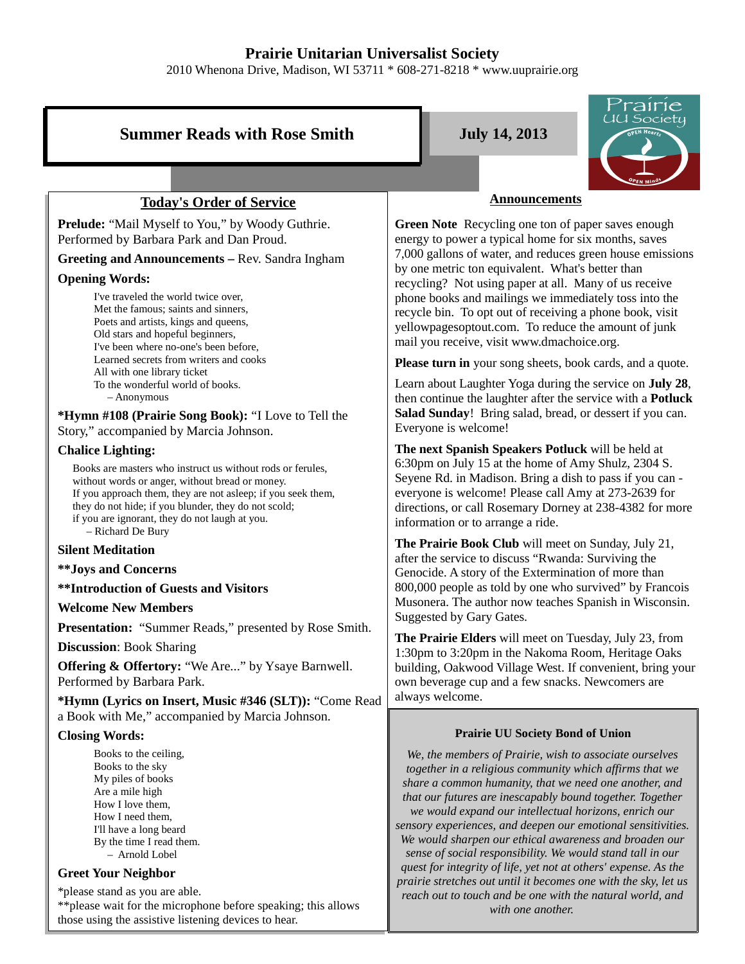# **Prairie Unitarian Universalist Society**

2010 Whenona Drive, Madison, WI 53711 \* 608-271-8218 \* www.uuprairie.org

# **Summer Reads with Rose Smith**  July 14, 2013



# **Today's Order of Service**

**Prelude:** "Mail Myself to You," by Woody Guthrie. Performed by Barbara Park and Dan Proud.

**Greeting and Announcements –** Rev. Sandra Ingham

## **Opening Words:**

I've traveled the world twice over, Met the famous; saints and sinners, Poets and artists, kings and queens, Old stars and hopeful beginners, I've been where no-one's been before, Learned secrets from writers and cooks All with one library ticket To the wonderful world of books. – Anonymous

**\*Hymn #108 (Prairie Song Book):** "I Love to Tell the Story," accompanied by Marcia Johnson.

## **Chalice Lighting:**

Books are masters who instruct us without rods or ferules, without words or anger, without bread or money. If you approach them, they are not asleep; if you seek them, they do not hide; if you blunder, they do not scold; if you are ignorant, they do not laugh at you. – Richard De Bury

## **Silent Meditation**

**\*\*Joys and Concerns**

**\*\*Introduction of Guests and Visitors**

## **Welcome New Members**

**Presentation:** "Summer Reads," presented by Rose Smith.

**Discussion**: Book Sharing

**Offering & Offertory:** "We Are..." by Ysaye Barnwell. Performed by Barbara Park.

**\*Hymn (Lyrics on Insert, Music #346 (SLT)):** "Come Read a Book with Me," accompanied by Marcia Johnson.

## **Closing Words:**

Books to the ceiling, Books to the sky My piles of books Are a mile high How I love them, How I need them, I'll have a long beard By the time I read them. – Arnold Lobel

## **Greet Your Neighbor**

\*please stand as you are able.

\*\*please wait for the microphone before speaking; this allows those using the assistive listening devices to hear.

## **Announcements**

**Green Note** Recycling one ton of paper saves enough energy to power a typical home for six months, saves 7,000 gallons of water, and reduces green house emissions by one metric ton equivalent. What's better than recycling? Not using paper at all. Many of us receive phone books and mailings we immediately toss into the recycle bin. To opt out of receiving a phone book, visit yellowpagesoptout.com. To reduce the amount of junk mail you receive, visit www.dmachoice.org.

**Please turn in** your song sheets, book cards, and a quote.

Learn about Laughter Yoga during the service on **July 28**, then continue the laughter after the service with a **Potluck Salad Sunday**! Bring salad, bread, or dessert if you can. Everyone is welcome!

**The next Spanish Speakers Potluck** will be held at 6:30pm on July 15 at the home of Amy Shulz, 2304 S. Seyene Rd. in Madison. Bring a dish to pass if you can everyone is welcome! Please call Amy at 273-2639 for directions, or call Rosemary Dorney at 238-4382 for more information or to arrange a ride.

**The Prairie Book Club** will meet on Sunday, July 21, after the service to discuss "Rwanda: Surviving the Genocide. A story of the Extermination of more than 800,000 people as told by one who survived" by Francois Musonera. The author now teaches Spanish in Wisconsin. Suggested by Gary Gates.

**The Prairie Elders** will meet on Tuesday, July 23, from 1:30pm to 3:20pm in the Nakoma Room, Heritage Oaks building, Oakwood Village West. If convenient, bring your own beverage cup and a few snacks. Newcomers are always welcome.

## **Prairie UU Society Bond of Union**

*We, the members of Prairie, wish to associate ourselves together in a religious community which affirms that we share a common humanity, that we need one another, and that our futures are inescapably bound together. Together we would expand our intellectual horizons, enrich our sensory experiences, and deepen our emotional sensitivities. We would sharpen our ethical awareness and broaden our sense of social responsibility. We would stand tall in our quest for integrity of life, yet not at others' expense. As the prairie stretches out until it becomes one with the sky, let us reach out to touch and be one with the natural world, and with one another.*